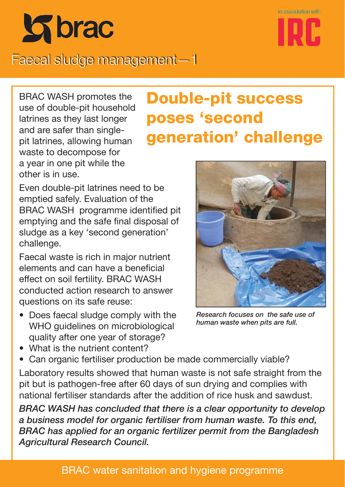



## Faecal sludge management—1

BRAC WASH promotes the use of double-pit household latrines as they last longer and are safer than singlepit latrines, allowing human waste to decompose for a year in one pit while the other is in use.

# **Double-pit success poses 'second generation' challenge**

Even double-pit latrines need to be emptied safely. Evaluation of the BRAC WASH programme identified pit emptying and the safe final disposal of sludge as a key 'second generation' challenge.

Faecal waste is rich in major nutrient elements and can have a beneficial effect on soil fertility. BRAC WASH conducted action research to answer questions on its safe reuse:

- Does faecal sludge comply with the WHO quidelines on microbiological quality after one year of storage?
- 

*Research focuses on the safe use of human waste when pits are full.*

- What is the nutrient content?
- Can organic fertiliser production be made commercially viable?

Laboratory results showed that human waste is not safe straight from the pit but is pathogen-free after 60 days of sun drying and complies with national fertiliser standards after the addition of rice husk and sawdust.

*BRAC WASH has concluded that there is a clear opportunity to develop a business model for organic fertiliser from human waste. To this end, BRAC has applied for an organic fertilizer permit from the Bangladesh Agricultural Research Council.*

#### BRAC water sanitation and hygiene programme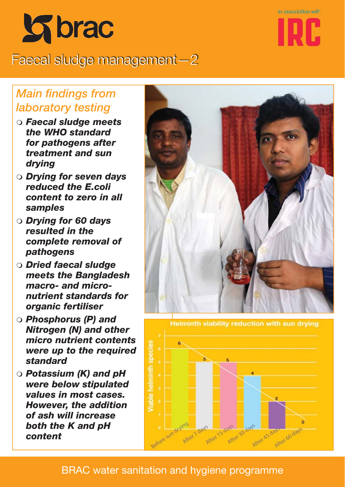

Faecal sludge management—2



### **Main findings from** *laboratory testing*

- *Faecal sludge meets the WHO standard for pathogens after treatment and sun drying*
- *Drying for seven days reduced the E.coli content to zero in all samples*
- *Drying for 60 days resulted in the complete removal of pathogens*
- *Dried faecal sludge meets the Bangladesh macro- and micronutrient standards for organic fertiliser*
- *Phosphorus (P) and Nitrogen (N) and other micro nutrient contents were up to the required standard*
- *Potassium (K) and pH were below stipulated values in most cases. However, the addition of ash will increase both the K and pH content*



**Helminth viability reduction with sun drying** e. After as day America day After 30

#### BRAC water sanitation and hygiene programme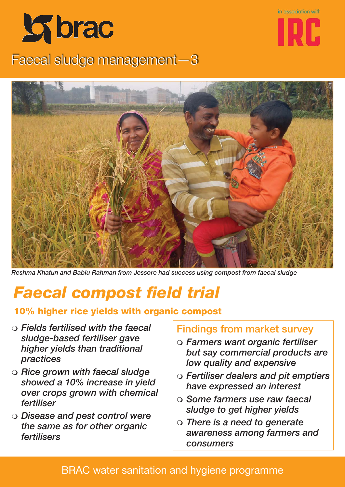

in association with

## Faecal sludge management—3



*Reshma Khatun and Bablu Rahman from Jessore had success using compost from faecal sludge*

# **Faecal compost field trial**

#### **10% higher rice yields with organic compost**

- *Fields fertilised with the faecal sludge-based fertiliser gave higher yields than traditional practices*
- *Rice grown with faecal sludge showed a 10% increase in yield over crops grown with chemical fertiliser*
- *Disease and pest control were the same as for other organic fertilisers*

#### **Findings from market survey**

- *Farmers want organic fertiliser but say commercial products are low quality and expensive*
- *Fertiliser dealers and pit emptiers have expressed an interest*
- *Some farmers use raw faecal sludge to get higher yields*
- *There is a need to generate awareness among farmers and consumers*

#### BRAC water sanitation and hygiene programme